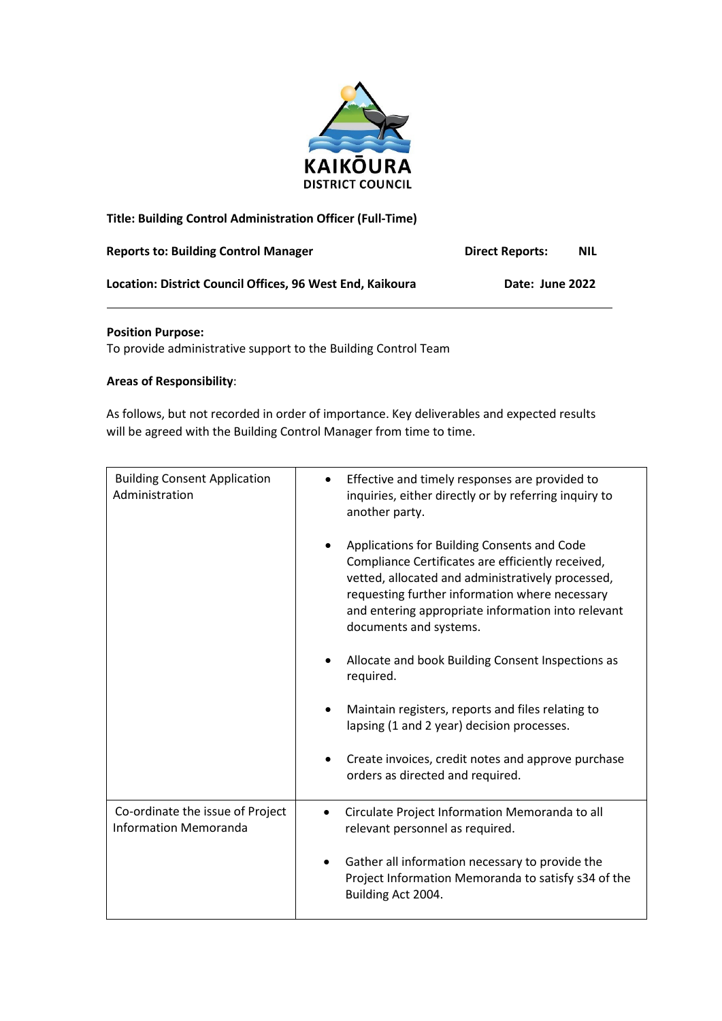

# **Title: Building Control Administration Officer (Full-Time)**

| <b>Reports to: Building Control Manager</b>               | <b>Direct Reports:</b> | <b>NIL</b> |
|-----------------------------------------------------------|------------------------|------------|
| Location: District Council Offices. 96 West End. Kaikoura | Date: June 2022        |            |

### **Position Purpose:**

To provide administrative support to the Building Control Team

### **Areas of Responsibility**:

As follows, but not recorded in order of importance. Key deliverables and expected results will be agreed with the Building Control Manager from time to time.

| <b>Building Consent Application</b><br>Administration            | Effective and timely responses are provided to<br>inquiries, either directly or by referring inquiry to<br>another party.                                                                                                                                                                            |
|------------------------------------------------------------------|------------------------------------------------------------------------------------------------------------------------------------------------------------------------------------------------------------------------------------------------------------------------------------------------------|
|                                                                  | Applications for Building Consents and Code<br>$\bullet$<br>Compliance Certificates are efficiently received,<br>vetted, allocated and administratively processed,<br>requesting further information where necessary<br>and entering appropriate information into relevant<br>documents and systems. |
|                                                                  | Allocate and book Building Consent Inspections as<br>required.                                                                                                                                                                                                                                       |
|                                                                  | Maintain registers, reports and files relating to<br>$\bullet$<br>lapsing (1 and 2 year) decision processes.                                                                                                                                                                                         |
|                                                                  | Create invoices, credit notes and approve purchase<br>orders as directed and required.                                                                                                                                                                                                               |
| Co-ordinate the issue of Project<br><b>Information Memoranda</b> | Circulate Project Information Memoranda to all<br>$\bullet$<br>relevant personnel as required.                                                                                                                                                                                                       |
|                                                                  | Gather all information necessary to provide the<br>$\bullet$<br>Project Information Memoranda to satisfy s34 of the<br>Building Act 2004.                                                                                                                                                            |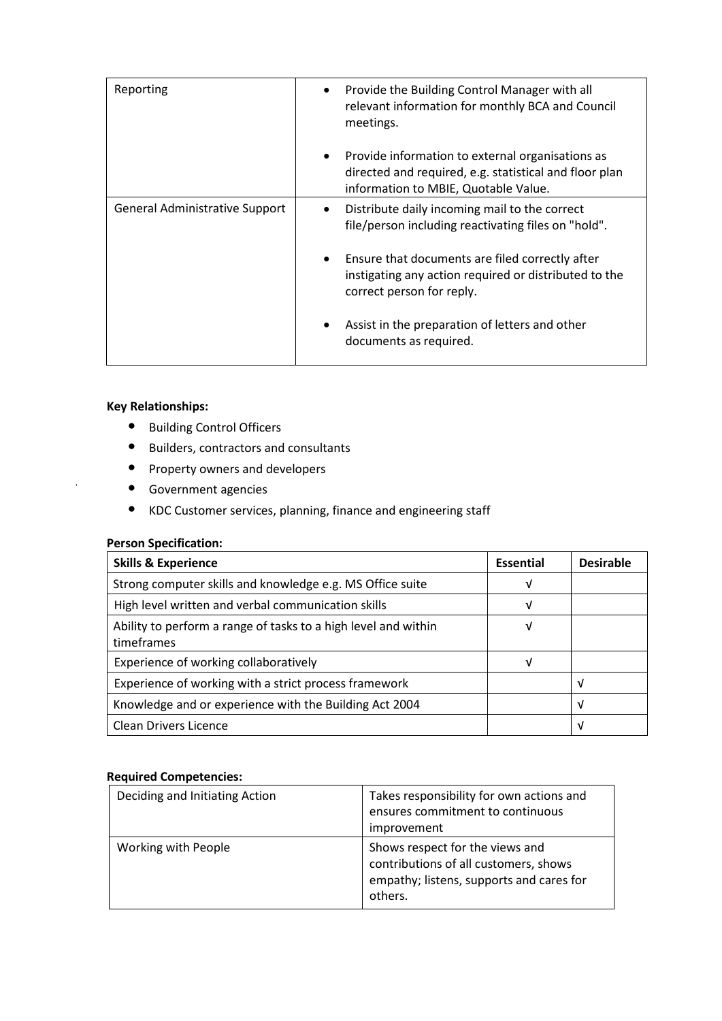| Reporting                      | Provide the Building Control Manager with all<br>٠<br>relevant information for monthly BCA and Council<br>meetings.                                             |
|--------------------------------|-----------------------------------------------------------------------------------------------------------------------------------------------------------------|
|                                | Provide information to external organisations as<br>$\bullet$<br>directed and required, e.g. statistical and floor plan<br>information to MBIE, Quotable Value. |
| General Administrative Support | Distribute daily incoming mail to the correct<br>$\bullet$<br>file/person including reactivating files on "hold".                                               |
|                                | Ensure that documents are filed correctly after<br>$\bullet$<br>instigating any action required or distributed to the<br>correct person for reply.              |
|                                | Assist in the preparation of letters and other<br>documents as required.                                                                                        |

# **Key Relationships:**

- Building Control Officers
- Builders, contractors and consultants
- Property owners and developers
- Government agencies
- KDC Customer services, planning, finance and engineering staff

## **Person Specification:**

| <b>Skills &amp; Experience</b>                                               | <b>Essential</b> | <b>Desirable</b> |
|------------------------------------------------------------------------------|------------------|------------------|
| Strong computer skills and knowledge e.g. MS Office suite                    | v                |                  |
| High level written and verbal communication skills                           | V                |                  |
| Ability to perform a range of tasks to a high level and within<br>timeframes | ν                |                  |
| Experience of working collaboratively                                        | ν                |                  |
| Experience of working with a strict process framework                        |                  | V                |
| Knowledge and or experience with the Building Act 2004                       |                  | V                |
| Clean Drivers Licence                                                        |                  | ν                |

# **Required Competencies:**

| Deciding and Initiating Action | Takes responsibility for own actions and<br>ensures commitment to continuous<br>improvement                                     |
|--------------------------------|---------------------------------------------------------------------------------------------------------------------------------|
| Working with People            | Shows respect for the views and<br>contributions of all customers, shows<br>empathy; listens, supports and cares for<br>others. |